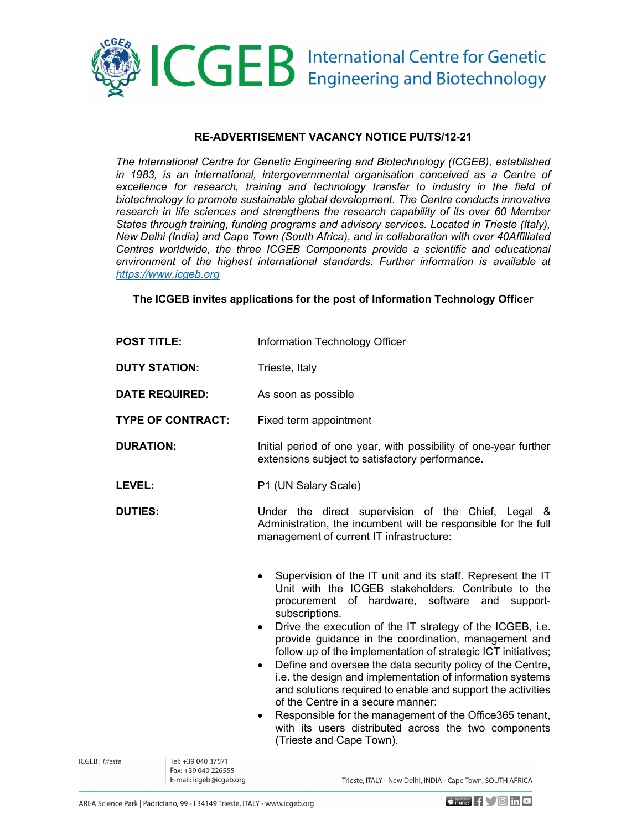

## RE-ADVERTISEMENT VACANCY NOTICE PU/TS/12-21

The International Centre for Genetic Engineering and Biotechnology (ICGEB), established in 1983, is an international, intergovernmental organisation conceived as a Centre of excellence for research, training and technology transfer to industry in the field of biotechnology to promote sustainable global development. The Centre conducts innovative research in life sciences and strengthens the research capability of its over 60 Member States through training, funding programs and advisory services. Located in Trieste (Italy), New Delhi (India) and Cape Town (South Africa), and in collaboration with over 40Affiliated Centres worldwide, the three ICGEB Components provide a scientific and educational environment of the highest international standards. Further information is available at https://www.icgeb.org

#### The ICGEB invites applications for the post of Information Technology Officer

| <b>POST TITLE:</b>       | Information Technology Officer                                                                                                                                                                                                                                                                                                                                                                                                                                                                                                                                                                                                                                                                                                                                                                |
|--------------------------|-----------------------------------------------------------------------------------------------------------------------------------------------------------------------------------------------------------------------------------------------------------------------------------------------------------------------------------------------------------------------------------------------------------------------------------------------------------------------------------------------------------------------------------------------------------------------------------------------------------------------------------------------------------------------------------------------------------------------------------------------------------------------------------------------|
| <b>DUTY STATION:</b>     | Trieste, Italy                                                                                                                                                                                                                                                                                                                                                                                                                                                                                                                                                                                                                                                                                                                                                                                |
| <b>DATE REQUIRED:</b>    | As soon as possible                                                                                                                                                                                                                                                                                                                                                                                                                                                                                                                                                                                                                                                                                                                                                                           |
| <b>TYPE OF CONTRACT:</b> | Fixed term appointment                                                                                                                                                                                                                                                                                                                                                                                                                                                                                                                                                                                                                                                                                                                                                                        |
| <b>DURATION:</b>         | Initial period of one year, with possibility of one-year further<br>extensions subject to satisfactory performance.                                                                                                                                                                                                                                                                                                                                                                                                                                                                                                                                                                                                                                                                           |
| LEVEL:                   | P1 (UN Salary Scale)                                                                                                                                                                                                                                                                                                                                                                                                                                                                                                                                                                                                                                                                                                                                                                          |
| <b>DUTIES:</b>           | Under the direct supervision of the Chief, Legal &<br>Administration, the incumbent will be responsible for the full<br>management of current IT infrastructure:                                                                                                                                                                                                                                                                                                                                                                                                                                                                                                                                                                                                                              |
|                          | Supervision of the IT unit and its staff. Represent the IT<br>٠<br>Unit with the ICGEB stakeholders. Contribute to the<br>procurement of hardware, software and support-<br>subscriptions.<br>Drive the execution of the IT strategy of the ICGEB, i.e.<br>$\bullet$<br>provide guidance in the coordination, management and<br>follow up of the implementation of strategic ICT initiatives;<br>Define and oversee the data security policy of the Centre,<br>$\bullet$<br>i.e. the design and implementation of information systems<br>and solutions required to enable and support the activities<br>of the Centre in a secure manner:<br>Responsible for the management of the Office365 tenant,<br>٠<br>with its users distributed across the two components<br>(Trieste and Cape Town). |

Tel: +39 040 37571 Fax: +39 040 226555 E-mail: icgeb@icgeb.org

**ICGEB** | Trieste

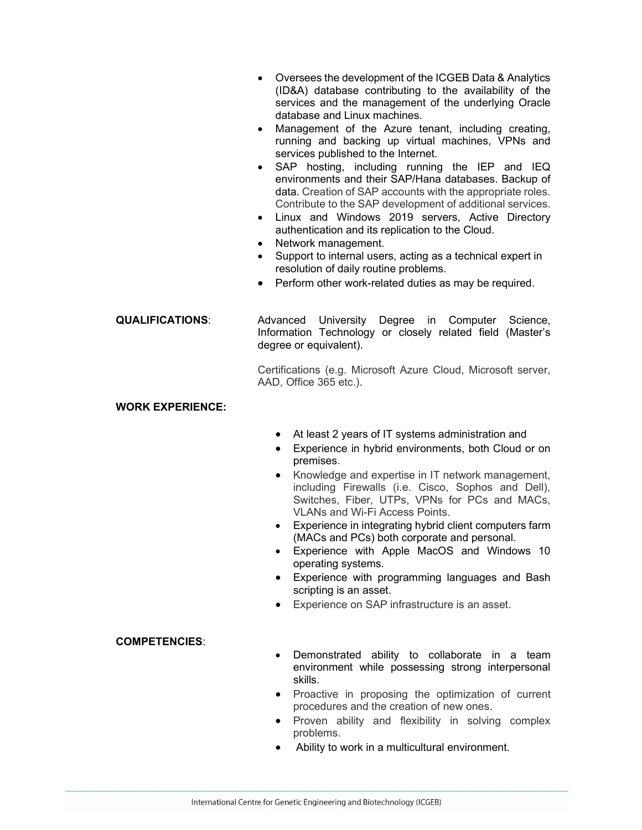- Oversees the development of the ICGEB Data & Analytics (ID&A) database contributing to the availability of the services and the management of the underlying Oracle database and Linux machines.
- Management of the Azure tenant, including creating, running and backing up virtual machines, VPNs and services published to the Internet.
- SAP hosting, including running the IEP and IEQ environments and their SAP/Hana databases. Backup of data. Creation of SAP accounts with the appropriate roles. Contribute to the SAP development of additional services.
- Linux and Windows 2019 servers, Active Directory authentication and its replication to the Cloud.
- Network management.
- Support to internal users, acting as a technical expert in resolution of daily routine problems.
- Perform other work-related duties as may be required.

QUALIFICATIONS: Advanced University Degree in Computer Science, Information Technology or closely related field (Master's degree or equivalent).

> Certifications (e.g. Microsoft Azure Cloud, Microsoft server, AAD, Office 365 etc.).

#### WORK EXPERIENCE:

- At least 2 years of IT systems administration and
- Experience in hybrid environments, both Cloud or on premises.
- Knowledge and expertise in IT network management, including Firewalls (i.e. Cisco, Sophos and Dell), Switches, Fiber, UTPs, VPNs for PCs and MACs, VLANs and Wi-Fi Access Points.
- Experience in integrating hybrid client computers farm (MACs and PCs) both corporate and personal.
- Experience with Apple MacOS and Windows 10 operating systems.
- Experience with programming languages and Bash scripting is an asset.
- Experience on SAP infrastructure is an asset.

### COMPETENCIES:

- Demonstrated ability to collaborate in a team environment while possessing strong interpersonal skills.
- Proactive in proposing the optimization of current procedures and the creation of new ones.
- Proven ability and flexibility in solving complex problems.
- Ability to work in a multicultural environment.